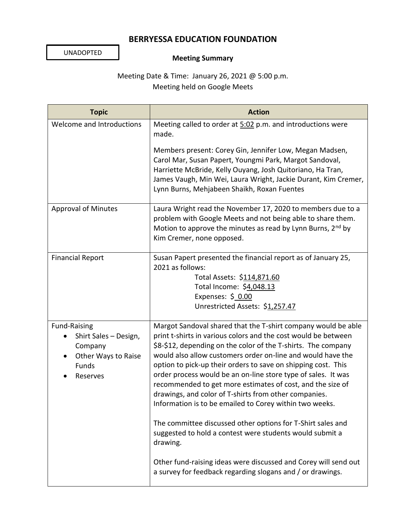## **BERRYESSA EDUCATION FOUNDATION**

UNADOPTED

## **Meeting Summary**

Meeting Date & Time: January 26, 2021 @ 5:00 p.m. Meeting held on Google Meets

| <b>Topic</b>                                                                                        | <b>Action</b>                                                                                                                                                                                                                                                                                                                                                                                                                                                                                                                                                                                                                                                                                                                                                                                                                                               |
|-----------------------------------------------------------------------------------------------------|-------------------------------------------------------------------------------------------------------------------------------------------------------------------------------------------------------------------------------------------------------------------------------------------------------------------------------------------------------------------------------------------------------------------------------------------------------------------------------------------------------------------------------------------------------------------------------------------------------------------------------------------------------------------------------------------------------------------------------------------------------------------------------------------------------------------------------------------------------------|
| Welcome and Introductions                                                                           | Meeting called to order at 5:02 p.m. and introductions were<br>made.                                                                                                                                                                                                                                                                                                                                                                                                                                                                                                                                                                                                                                                                                                                                                                                        |
|                                                                                                     | Members present: Corey Gin, Jennifer Low, Megan Madsen,<br>Carol Mar, Susan Papert, Youngmi Park, Margot Sandoval,<br>Harriette McBride, Kelly Ouyang, Josh Quitoriano, Ha Tran,<br>James Vaugh, Min Wei, Laura Wright, Jackie Durant, Kim Cremer,<br>Lynn Burns, Mehjabeen Shaikh, Roxan Fuentes                                                                                                                                                                                                                                                                                                                                                                                                                                                                                                                                                           |
| <b>Approval of Minutes</b>                                                                          | Laura Wright read the November 17, 2020 to members due to a<br>problem with Google Meets and not being able to share them.<br>Motion to approve the minutes as read by Lynn Burns, $2^{nd}$ by<br>Kim Cremer, none opposed.                                                                                                                                                                                                                                                                                                                                                                                                                                                                                                                                                                                                                                 |
| <b>Financial Report</b>                                                                             | Susan Papert presented the financial report as of January 25,<br>2021 as follows:<br>Total Assets: \$114,871.60<br>Total Income: \$4,048.13<br>Expenses: $$0.00$<br>Unrestricted Assets: \$1,257.47                                                                                                                                                                                                                                                                                                                                                                                                                                                                                                                                                                                                                                                         |
| <b>Fund-Raising</b><br>Shirt Sales - Design,<br>Company<br>Other Ways to Raise<br>Funds<br>Reserves | Margot Sandoval shared that the T-shirt company would be able<br>print t-shirts in various colors and the cost would be between<br>\$8-\$12, depending on the color of the T-shirts. The company<br>would also allow customers order on-line and would have the<br>option to pick-up their orders to save on shipping cost. This<br>order process would be an on-line store type of sales. It was<br>recommended to get more estimates of cost, and the size of<br>drawings, and color of T-shirts from other companies.<br>Information is to be emailed to Corey within two weeks.<br>The committee discussed other options for T-Shirt sales and<br>suggested to hold a contest were students would submit a<br>drawing.<br>Other fund-raising ideas were discussed and Corey will send out<br>a survey for feedback regarding slogans and / or drawings. |